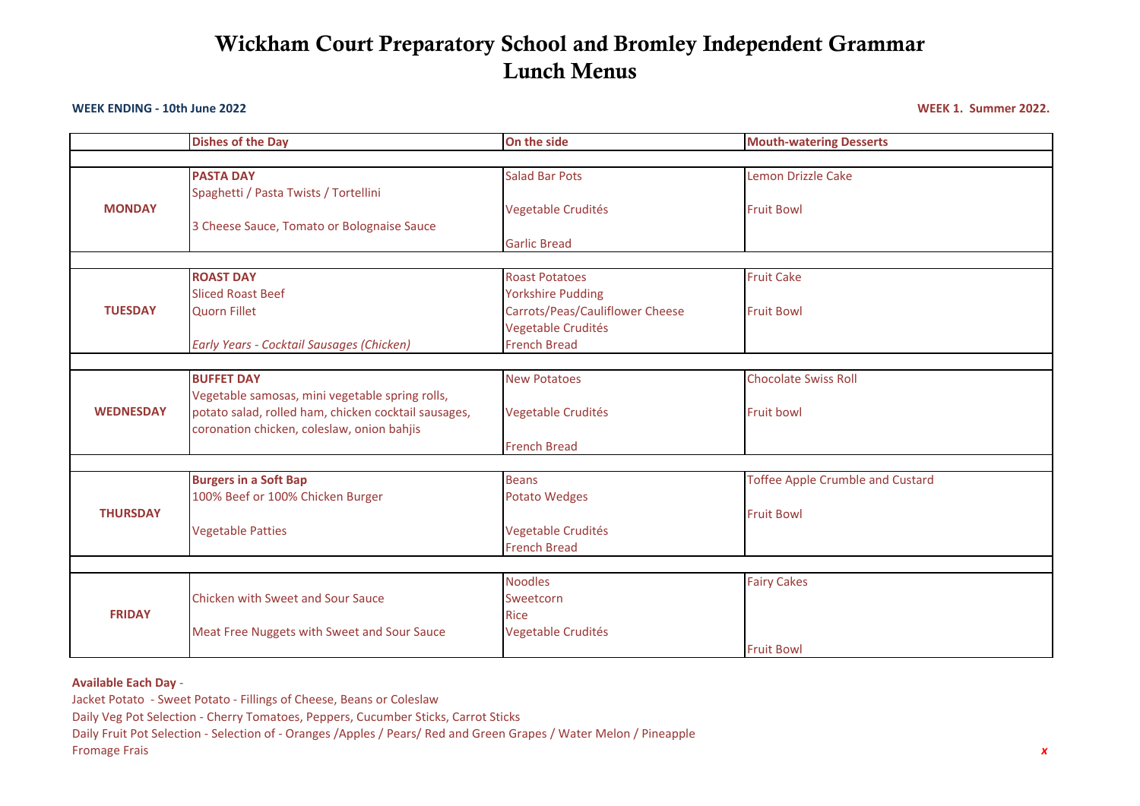# **Wickham Court Preparatory School and Bromley Independent Grammar Lunch Menus**

#### **WEEK ENDING - 10th June 2022 WEEK 1. Summer 2022.**

|                  | <b>Dishes of the Day</b>                             | On the side                     | <b>Mouth-watering Desserts</b>          |  |  |  |
|------------------|------------------------------------------------------|---------------------------------|-----------------------------------------|--|--|--|
|                  |                                                      |                                 |                                         |  |  |  |
| <b>MONDAY</b>    | <b>PASTA DAY</b>                                     | <b>Salad Bar Pots</b>           | <b>Lemon Drizzle Cake</b>               |  |  |  |
|                  | Spaghetti / Pasta Twists / Tortellini                |                                 |                                         |  |  |  |
|                  |                                                      | Vegetable Crudités              | <b>Fruit Bowl</b>                       |  |  |  |
|                  | 3 Cheese Sauce, Tomato or Bolognaise Sauce           |                                 |                                         |  |  |  |
|                  |                                                      | <b>Garlic Bread</b>             |                                         |  |  |  |
|                  |                                                      |                                 |                                         |  |  |  |
| <b>TUESDAY</b>   | <b>ROAST DAY</b>                                     | <b>Roast Potatoes</b>           | <b>Fruit Cake</b>                       |  |  |  |
|                  | <b>Sliced Roast Beef</b>                             | <b>Yorkshire Pudding</b>        |                                         |  |  |  |
|                  | <b>Quorn Fillet</b>                                  | Carrots/Peas/Cauliflower Cheese | <b>Fruit Bowl</b>                       |  |  |  |
|                  |                                                      | Vegetable Crudités              |                                         |  |  |  |
|                  | Early Years - Cocktail Sausages (Chicken)            | <b>French Bread</b>             |                                         |  |  |  |
|                  |                                                      |                                 |                                         |  |  |  |
|                  | <b>BUFFET DAY</b>                                    | <b>New Potatoes</b>             | <b>Chocolate Swiss Roll</b>             |  |  |  |
|                  | Vegetable samosas, mini vegetable spring rolls,      |                                 |                                         |  |  |  |
| <b>WEDNESDAY</b> | potato salad, rolled ham, chicken cocktail sausages, | Vegetable Crudités              | <b>Fruit bowl</b>                       |  |  |  |
|                  | coronation chicken, coleslaw, onion bahjis           |                                 |                                         |  |  |  |
|                  |                                                      | <b>French Bread</b>             |                                         |  |  |  |
|                  |                                                      |                                 |                                         |  |  |  |
|                  | <b>Burgers in a Soft Bap</b>                         | <b>Beans</b>                    | <b>Toffee Apple Crumble and Custard</b> |  |  |  |
|                  | 100% Beef or 100% Chicken Burger                     | <b>Potato Wedges</b>            |                                         |  |  |  |
| <b>THURSDAY</b>  |                                                      |                                 | <b>Fruit Bowl</b>                       |  |  |  |
|                  | <b>Vegetable Patties</b>                             | Vegetable Crudités              |                                         |  |  |  |
|                  |                                                      | <b>French Bread</b>             |                                         |  |  |  |
|                  |                                                      |                                 |                                         |  |  |  |
|                  |                                                      | <b>Noodles</b>                  | <b>Fairy Cakes</b>                      |  |  |  |
| <b>FRIDAY</b>    | <b>Chicken with Sweet and Sour Sauce</b>             | Sweetcorn                       |                                         |  |  |  |
|                  |                                                      | <b>Rice</b>                     |                                         |  |  |  |
|                  | Meat Free Nuggets with Sweet and Sour Sauce          | Vegetable Crudités              |                                         |  |  |  |
|                  |                                                      |                                 | <b>Fruit Bowl</b>                       |  |  |  |

**Available Each Day** -

Jacket Potato - Sweet Potato - Fillings of Cheese, Beans or Coleslaw

Daily Veg Pot Selection - Cherry Tomatoes, Peppers, Cucumber Sticks, Carrot Sticks

Daily Fruit Pot Selection - Selection of - Oranges /Apples / Pears/ Red and Green Grapes / Water Melon / Pineapple

Fromage Frais *x*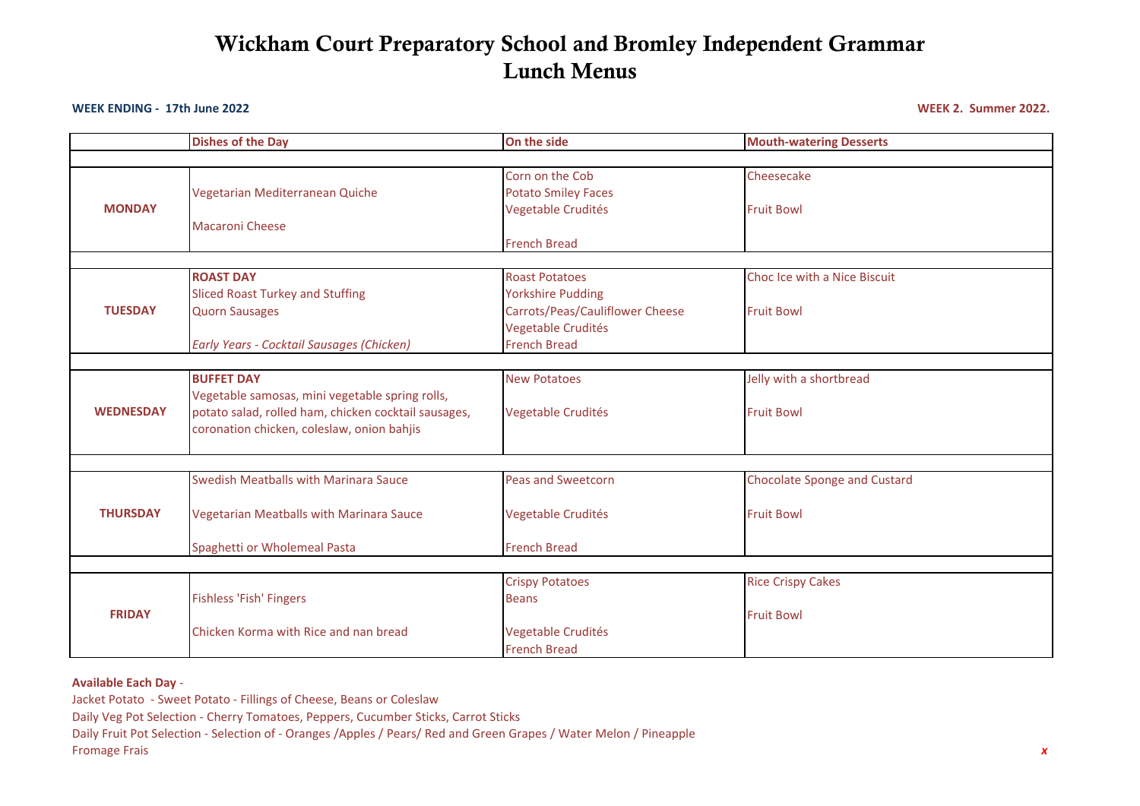# **Wickham Court Preparatory School and Bromley Independent Grammar Lunch Menus**

### **WEEK ENDING - 17th June 2022 WEEK 2. Summer 2022.**

|                  | <b>Dishes of the Day</b>                                  | On the side                                                         | <b>Mouth-watering Desserts</b>      |  |  |  |  |
|------------------|-----------------------------------------------------------|---------------------------------------------------------------------|-------------------------------------|--|--|--|--|
|                  |                                                           |                                                                     |                                     |  |  |  |  |
| <b>MONDAY</b>    | Vegetarian Mediterranean Quiche<br><b>Macaroni Cheese</b> | Corn on the Cob<br><b>Potato Smiley Faces</b><br>Vegetable Crudités | Cheesecake<br><b>Fruit Bowl</b>     |  |  |  |  |
|                  |                                                           | <b>French Bread</b>                                                 |                                     |  |  |  |  |
|                  |                                                           |                                                                     |                                     |  |  |  |  |
| <b>TUESDAY</b>   | <b>ROAST DAY</b>                                          | <b>Roast Potatoes</b>                                               | Choc Ice with a Nice Biscuit        |  |  |  |  |
|                  | <b>Sliced Roast Turkey and Stuffing</b>                   | <b>Yorkshire Pudding</b>                                            |                                     |  |  |  |  |
|                  | <b>Quorn Sausages</b>                                     | Carrots/Peas/Cauliflower Cheese                                     | <b>Fruit Bowl</b>                   |  |  |  |  |
|                  |                                                           | Vegetable Crudités                                                  |                                     |  |  |  |  |
|                  | Early Years - Cocktail Sausages (Chicken)                 | <b>French Bread</b>                                                 |                                     |  |  |  |  |
|                  |                                                           |                                                                     |                                     |  |  |  |  |
|                  | <b>BUFFET DAY</b>                                         | <b>New Potatoes</b>                                                 | Jelly with a shortbread             |  |  |  |  |
|                  | Vegetable samosas, mini vegetable spring rolls,           |                                                                     |                                     |  |  |  |  |
| <b>WEDNESDAY</b> | potato salad, rolled ham, chicken cocktail sausages,      | Vegetable Crudités                                                  | <b>Fruit Bowl</b>                   |  |  |  |  |
|                  | coronation chicken, coleslaw, onion bahjis                |                                                                     |                                     |  |  |  |  |
|                  |                                                           |                                                                     |                                     |  |  |  |  |
|                  | <b>Swedish Meatballs with Marinara Sauce</b>              | <b>Peas and Sweetcorn</b>                                           | <b>Chocolate Sponge and Custard</b> |  |  |  |  |
| <b>THURSDAY</b>  | Vegetarian Meatballs with Marinara Sauce                  | Vegetable Crudités                                                  | <b>Fruit Bowl</b>                   |  |  |  |  |
|                  | Spaghetti or Wholemeal Pasta                              | <b>French Bread</b>                                                 |                                     |  |  |  |  |
|                  |                                                           |                                                                     |                                     |  |  |  |  |
|                  |                                                           | <b>Crispy Potatoes</b>                                              | <b>Rice Crispy Cakes</b>            |  |  |  |  |
| <b>FRIDAY</b>    | Fishless 'Fish' Fingers                                   | <b>Beans</b>                                                        |                                     |  |  |  |  |
|                  |                                                           |                                                                     | <b>Fruit Bowl</b>                   |  |  |  |  |
|                  | Chicken Korma with Rice and nan bread                     | Vegetable Crudités                                                  |                                     |  |  |  |  |
|                  |                                                           | <b>French Bread</b>                                                 |                                     |  |  |  |  |

**Available Each Day** -

Jacket Potato - Sweet Potato - Fillings of Cheese, Beans or Coleslaw

Daily Veg Pot Selection - Cherry Tomatoes, Peppers, Cucumber Sticks, Carrot Sticks

Daily Fruit Pot Selection - Selection of - Oranges /Apples / Pears/ Red and Green Grapes / Water Melon / Pineapple

Fromage Frais *x*